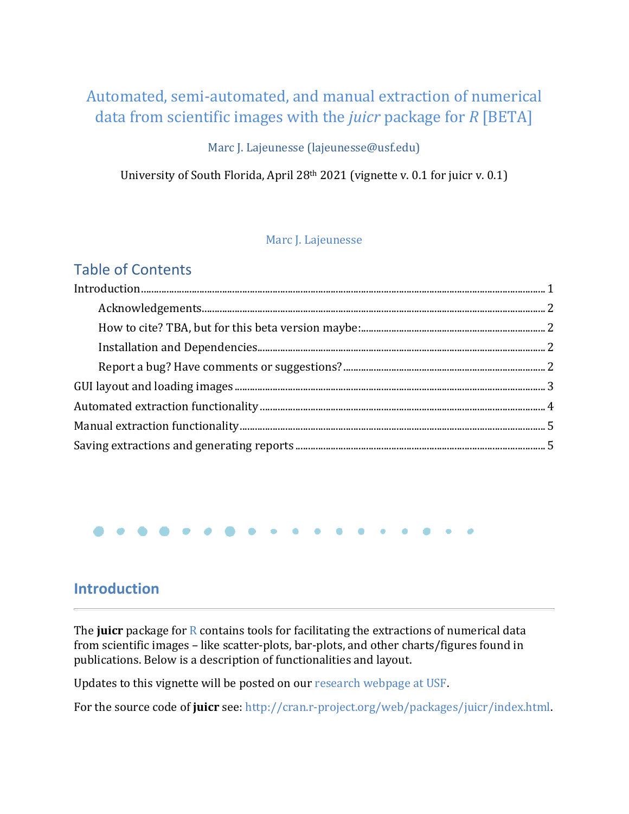# Automated, semi-automated, and manual extraction of numerical data from scientific images with the *juicr* package for *R* [BETA]

## Marc J. Lajeunesse (lajeunesse@usf.edu)

University of South Florida, April 28th 2021 (vignette v. 0.1 for juicr v. 0.1)

## [Marc J. Lajeunesse](http://lajeunesse.myweb.usf.edu/)

## Table of Contents

## <span id="page-0-0"></span>**Introduction**

The **juicr** package fo[r R](http://www.r-project.org/) contains tools for facilitating the extractions of numerical data from scientific images – like scatter-plots, bar-plots, and other charts/figures found in publications. Below is a description of functionalities and layout.

Updates to this vignette will be posted on our [research webpage at USF.](http://lajeunesse.myweb.usf.edu/)

For the source code of **juicr** see: [http://cran.r-project.org/web/packages/juicr/index.html.](http://cran.r-project.org/web/packages/juicr/index.html)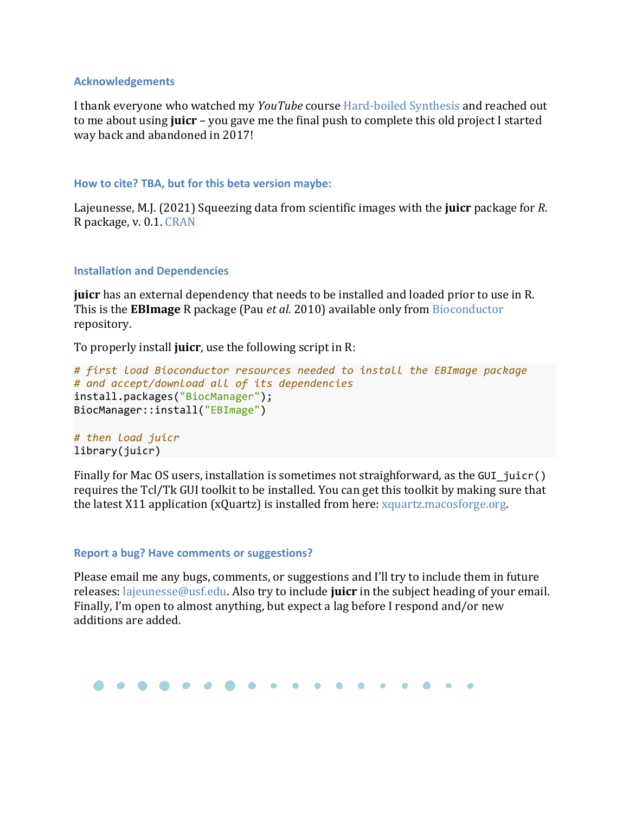### <span id="page-1-0"></span>**Acknowledgements**

I thank everyone who watched my *YouTube* course [Hard-boiled Synthesis](https://www.youtube.com/c/LajeunesseLab) and reached out to me about using **juicr** – you gave me the final push to complete this old project I started way back and abandoned in 2017!

### <span id="page-1-1"></span>**How to cite? TBA, but for this beta version maybe:**

Lajeunesse, M.J. (2021) Squeezing data from scientific images with the **juicr** package for *R*. R package, v. 0.1. [CRAN](http://cran.r-project.org/web/packages/juicr/index.html)

### <span id="page-1-2"></span>**Installation and Dependencies**

**juicr** has an external dependency that needs to be installed and loaded prior to use in R. This is the **EBImage** R package (Pau *et al.* 2010) available only from [Bioconductor](https://www.bioconductor.org/) repository.

To properly install **juicr**, use the following script in R:

```
# first load Bioconductor resources needed to install the EBImage package 
# and accept/download all of its dependencies
install.packages("BiocManager"); 
BiocManager::install("EBImage")
```
*# then load juicr* library(juicr)

Finally for Mac OS users, installation is sometimes not straighforward, as the GUI  $\exists$ uicr() requires the Tcl/Tk GUI toolkit to be installed. You can get this toolkit by making sure that the latest X11 application (xQuartz) is installed from here: [xquartz.macosforge.org.](http://xquartz.macosforge.org/landing/)

#### <span id="page-1-3"></span>**Report a bug? Have comments or suggestions?**

Please email me any bugs, comments, or suggestions and I'll try to include them in future releases: [lajeunesse@usf.edu.](mailto:lajeunesse@usf.edu) Also try to include **juicr** in the subject heading of your email. Finally, I'm open to almost anything, but expect a lag before I respond and/or new additions are added.

```
. . . .
```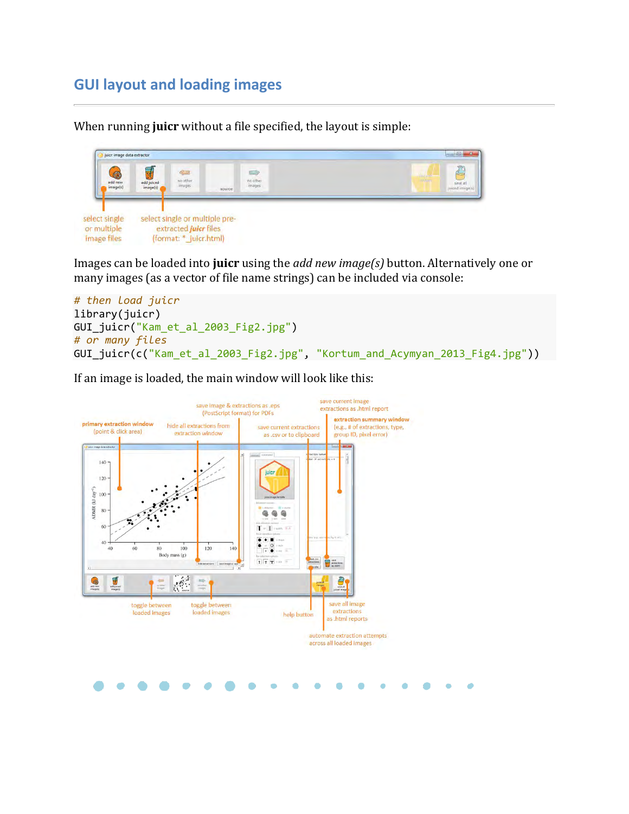# <span id="page-2-0"></span>**GUI layout and loading images**

When running **juicr** without a file specified, the layout is simple:



Images can be loaded into **juicr** using the *add new image(s)* button. Alternatively one or many images (as a vector of file name strings) can be included via console:

```
# then load juicr
library(juicr)
GUI_juicr("Kam_et_al_2003_Fig2.jpg")
# or many files
GUI_juicr(c("Kam_et_al_2003_Fig2.jpg", "Kortum_and_Acymyan_2013_Fig4.jpg"))
```
If an image is loaded, the main window will look like this:

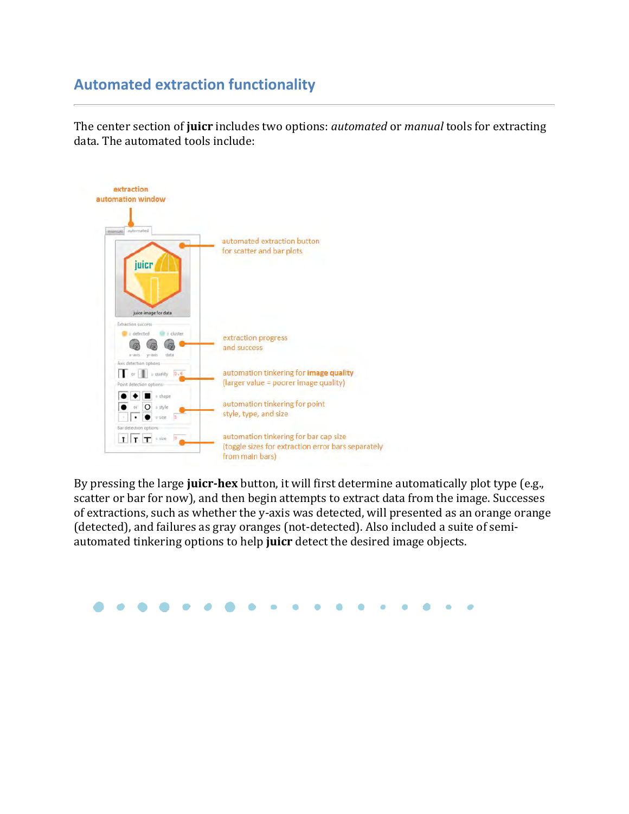# <span id="page-3-0"></span>**Automated extraction functionality**

The center section of **juicr** includes two options: *automated* or *manual* tools for extracting data. The automated tools include:



By pressing the large **juicr-hex** button, it will first determine automatically plot type (e.g., scatter or bar for now), and then begin attempts to extract data from the image. Successes of extractions, such as whether the y-axis was detected, will presented as an orange orange (detected), and failures as gray oranges (not-detected). Also included a suite of semiautomated tinkering options to help **juicr** detect the desired image objects.